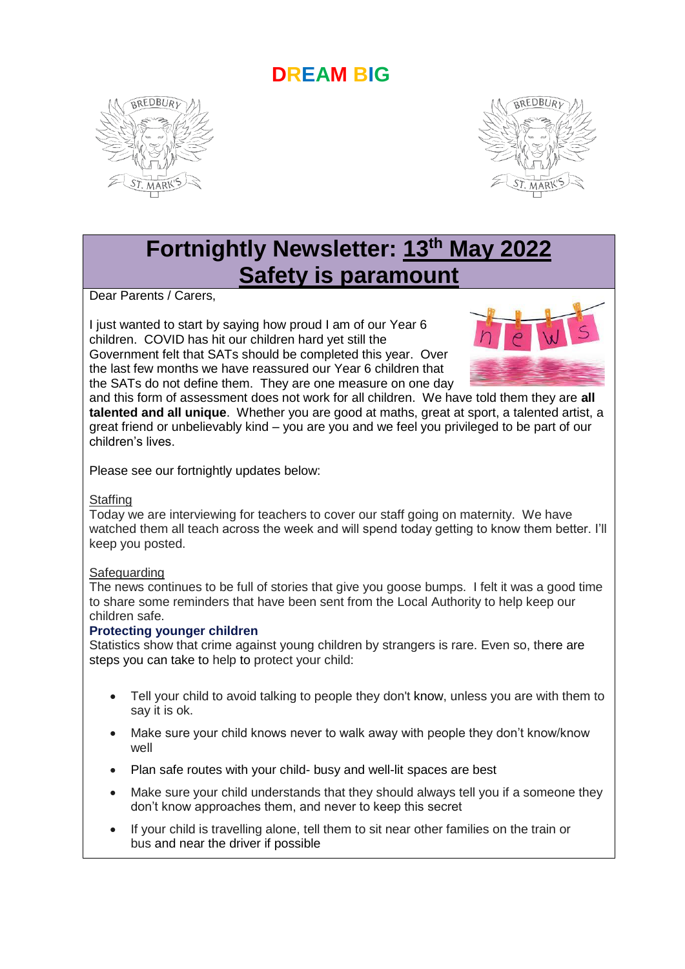## **DREAM BIG**





# **Fortnightly Newsletter: 13th May 2022 Safety is paramount**

Dear Parents / Carers,

I just wanted to start by saying how proud I am of our Year 6 children. COVID has hit our children hard yet still the Government felt that SATs should be completed this year. Over the last few months we have reassured our Year 6 children that the SATs do not define them. They are one measure on one day



and this form of assessment does not work for all children. We have told them they are **all talented and all unique**. Whether you are good at maths, great at sport, a talented artist, a great friend or unbelievably kind – you are you and we feel you privileged to be part of our children's lives.

Please see our fortnightly updates below:

#### **Staffing**

Today we are interviewing for teachers to cover our staff going on maternity. We have watched them all teach across the week and will spend today getting to know them better. I'll keep you posted.

#### Safeguarding

The news continues to be full of stories that give you goose bumps. I felt it was a good time to share some reminders that have been sent from the Local Authority to help keep our children safe.

### **Protecting younger children**

Statistics show that crime against young children by strangers is rare. Even so, there are steps you can take to help to protect your child:

- Tell your child to avoid talking to people they don't know, unless you are with them to say it is ok.
- Make sure your child knows never to walk away with people they don't know/know well
- Plan safe routes with your child- busy and well-lit spaces are best
- Make sure your child understands that they should always tell you if a someone they don't know approaches them, and never to keep this secret
- If your child is travelling alone, tell them to sit near other families on the train or bus and near the driver if possible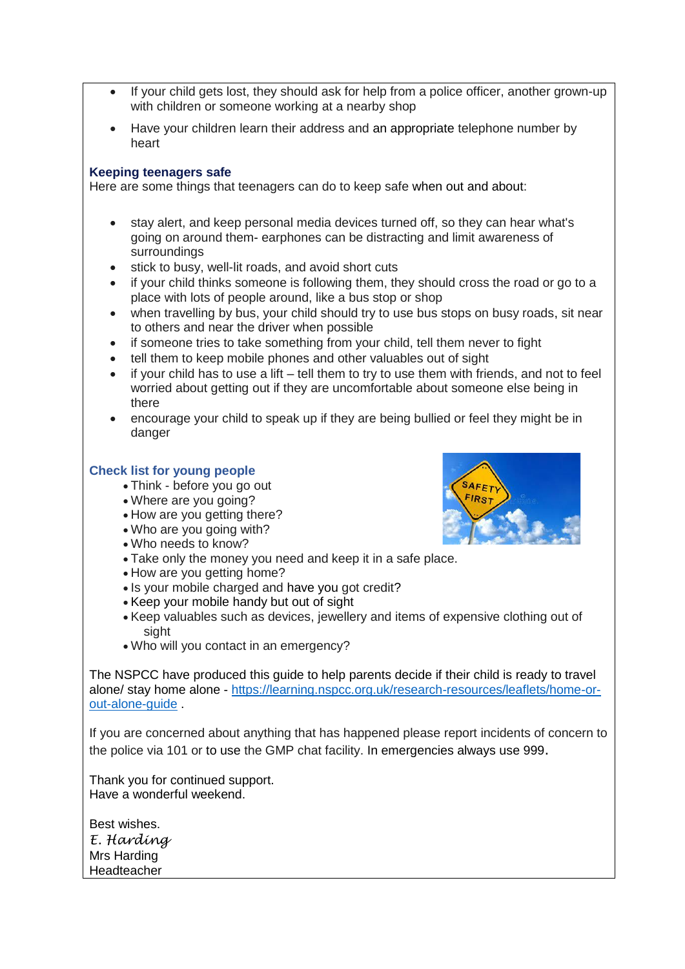- If your child gets lost, they should ask for help from a police officer, another grown-up with children or someone working at a nearby shop
- Have your children learn their address and an appropriate telephone number by heart

#### **Keeping teenagers safe**

Here are some things that teenagers can do to keep safe when out and about:

- stay alert, and keep personal media devices turned off, so they can hear what's going on around them- earphones can be distracting and limit awareness of surroundings
- stick to busy, well-lit roads, and avoid short cuts
- if your child thinks someone is following them, they should cross the road or go to a place with lots of people around, like a bus stop or shop
- when travelling by bus, your child should try to use bus stops on busy roads, sit near to others and near the driver when possible
- if someone tries to take something from your child, tell them never to fight
- tell them to keep mobile phones and other valuables out of sight
- $\bullet$  if your child has to use a lift tell them to try to use them with friends, and not to feel worried about getting out if they are uncomfortable about someone else being in there
- encourage your child to speak up if they are being bullied or feel they might be in danger

#### **Check list for young people**

- Think before you go out
- Where are you going?
- How are you getting there?
- Who are you going with?
- Who needs to know?
- Take only the money you need and keep it in a safe place.
- How are you getting home?
- Is your mobile charged and have you got credit?
- Keep your mobile handy but out of sight
- Keep valuables such as devices, jewellery and items of expensive clothing out of sight
- Who will you contact in an emergency?

The NSPCC have produced this guide to help parents decide if their child is ready to travel alone/ stay home alone - [https://learning.nspcc.org.uk/research-resources/leaflets/home-or](https://learning.nspcc.org.uk/research-resources/leaflets/home-or-out-alone-guide)[out-alone-guide](https://learning.nspcc.org.uk/research-resources/leaflets/home-or-out-alone-guide) .

If you are concerned about anything that has happened please report incidents of concern to the police via 101 or to use the GMP chat facility. In emergencies always use 999.

Thank you for continued support. Have a wonderful weekend.

Best wishes. *E. Harding* Mrs Harding Headteacher